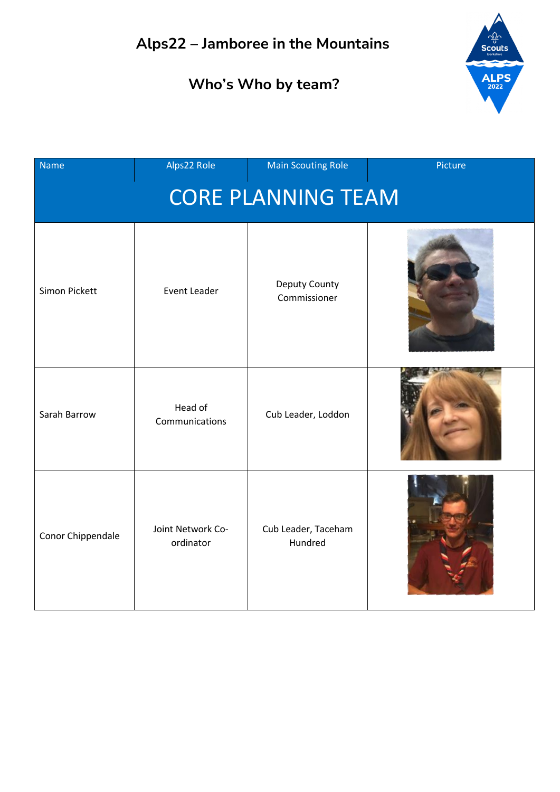

| <b>Name</b>               | Alps22 Role                    | <b>Main Scouting Role</b>      | Picture |  |
|---------------------------|--------------------------------|--------------------------------|---------|--|
| <b>CORE PLANNING TEAM</b> |                                |                                |         |  |
| Simon Pickett             | Event Leader                   | Deputy County<br>Commissioner  |         |  |
| Sarah Barrow              | Head of<br>Communications      | Cub Leader, Loddon             |         |  |
| Conor Chippendale         | Joint Network Co-<br>ordinator | Cub Leader, Taceham<br>Hundred |         |  |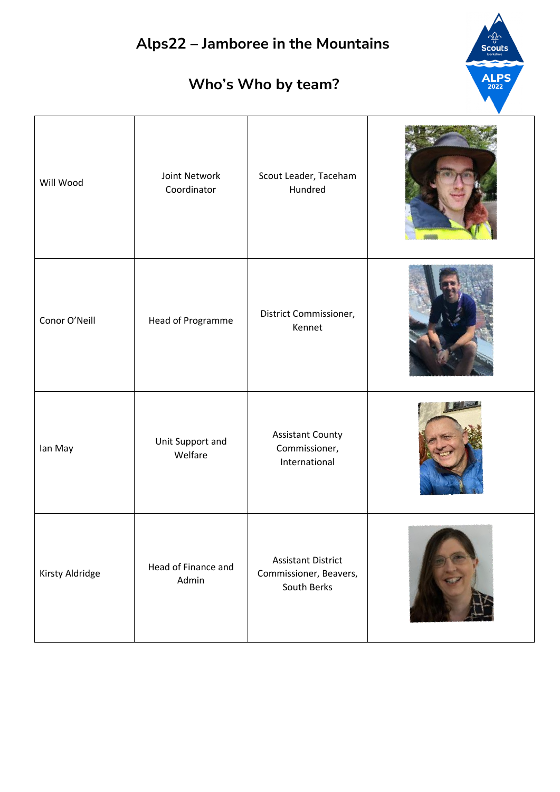#### **Who's Who by team?**

**ALPS** 

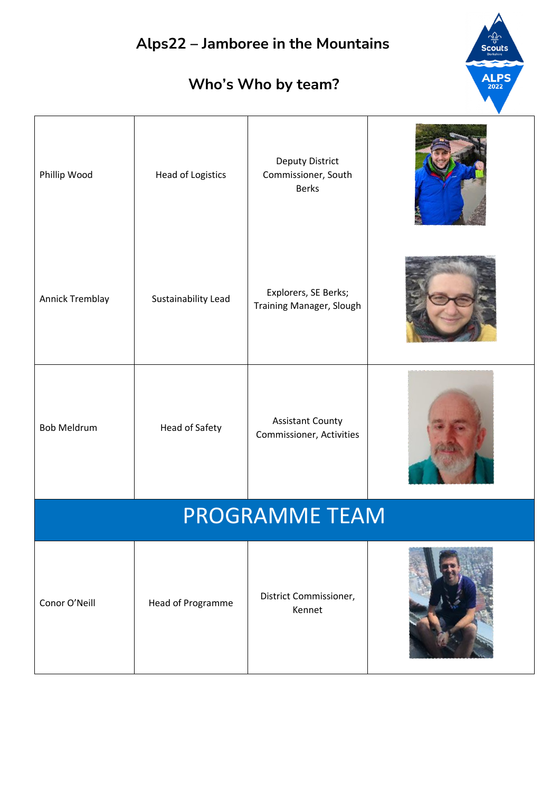# **Alps22 – Jamboree in the Mountains ALPS Who's Who by team?** Deputy District Phillip Wood | Head of Logistics Commissioner, South Berks Annick Tremblay Sustainability Lead Explorers, SE Berks; Training Manager, Slough Bob Meldrum Head of Safety Assistant County Commissioner, Activities PROGRAMME TEAM Conor O'Neill Head of Programme District Commissioner, Kennet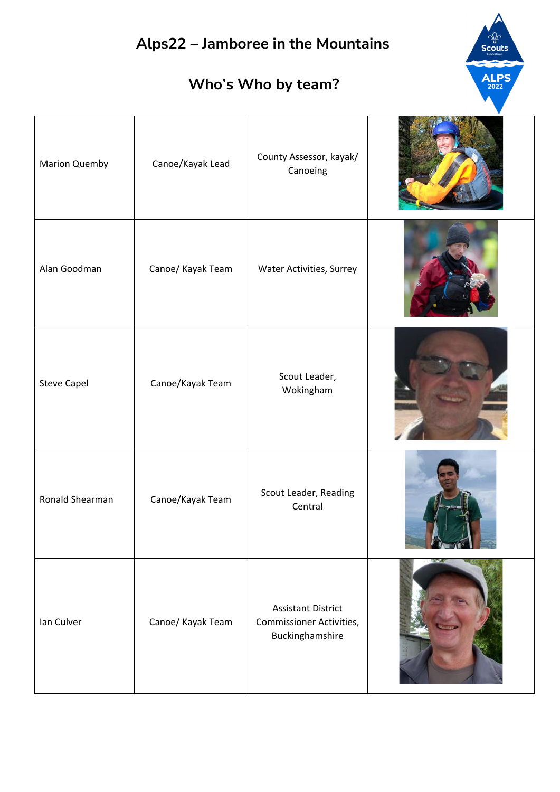

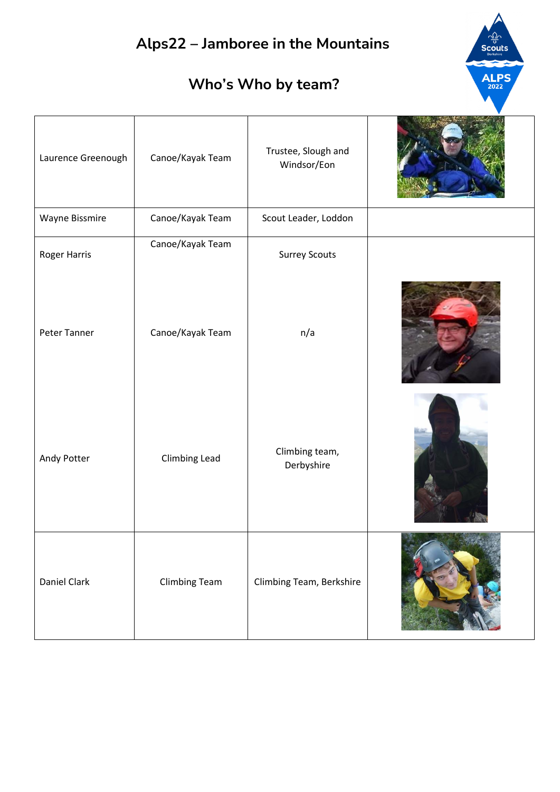$\frac{1}{\sqrt{2}}$ Scouts

ALPS

| Laurence Greenough | Canoe/Kayak Team     | Trustee, Slough and<br>Windsor/Eon |  |
|--------------------|----------------------|------------------------------------|--|
| Wayne Bissmire     | Canoe/Kayak Team     | Scout Leader, Loddon               |  |
| Roger Harris       | Canoe/Kayak Team     | <b>Surrey Scouts</b>               |  |
| Peter Tanner       | Canoe/Kayak Team     | n/a                                |  |
| Andy Potter        | Climbing Lead        | Climbing team,<br>Derbyshire       |  |
| Daniel Clark       | <b>Climbing Team</b> | Climbing Team, Berkshire           |  |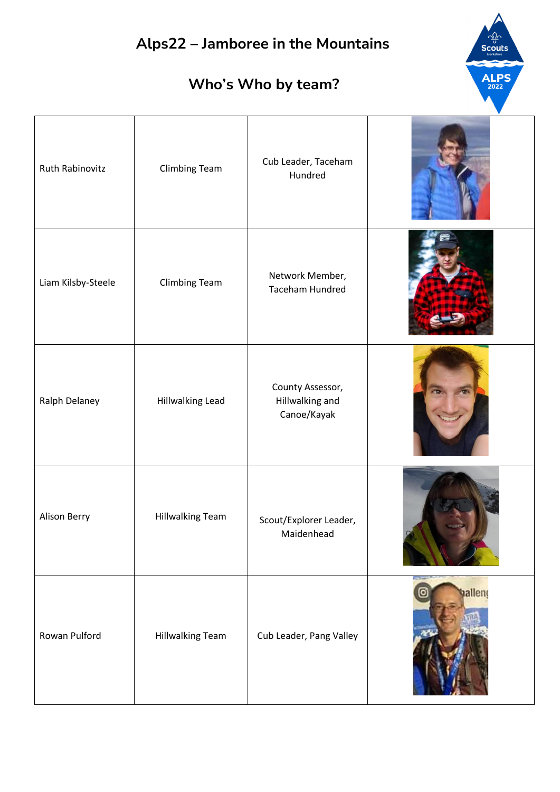# **Alps22 – Jamboree in the Mountains ALPS Who's Who by team?** Ruth Rabinovitz Climbing Team Cub Leader, Taceham Hundred Liam Kilsby-Steele Climbing Team Network Member, Taceham Hundred County Assessor, Ralph Delaney | Hillwalking Lead Hillwalking and Canoe/Kayak Alison Berry Hillwalking Team | Scout/Explorer Leader, Maidenhead hallend Rowan Pulford | Hillwalking Team | Cub Leader, Pang Valley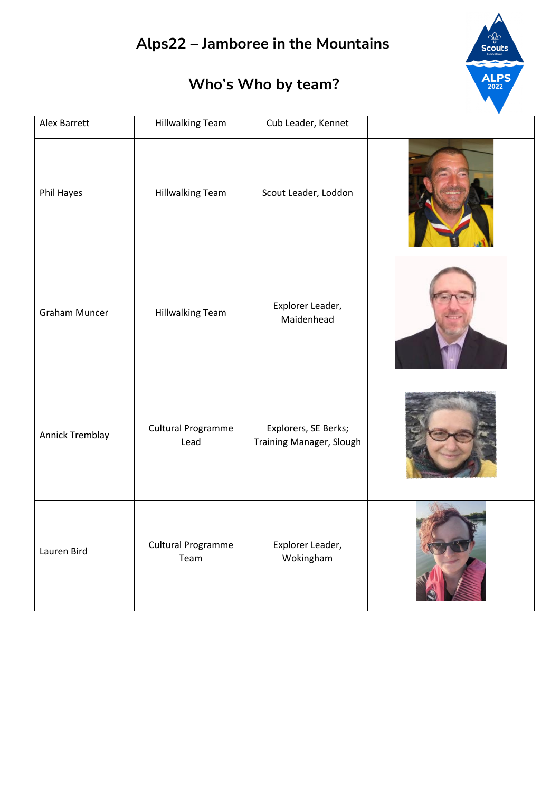

| Alex Barrett         | <b>Hillwalking Team</b>           | Cub Leader, Kennet                               |  |
|----------------------|-----------------------------------|--------------------------------------------------|--|
| Phil Hayes           | Hillwalking Team                  | Scout Leader, Loddon                             |  |
| <b>Graham Muncer</b> | <b>Hillwalking Team</b>           | Explorer Leader,<br>Maidenhead                   |  |
| Annick Tremblay      | Cultural Programme<br>Lead        | Explorers, SE Berks;<br>Training Manager, Slough |  |
| Lauren Bird          | <b>Cultural Programme</b><br>Team | Explorer Leader,<br>Wokingham                    |  |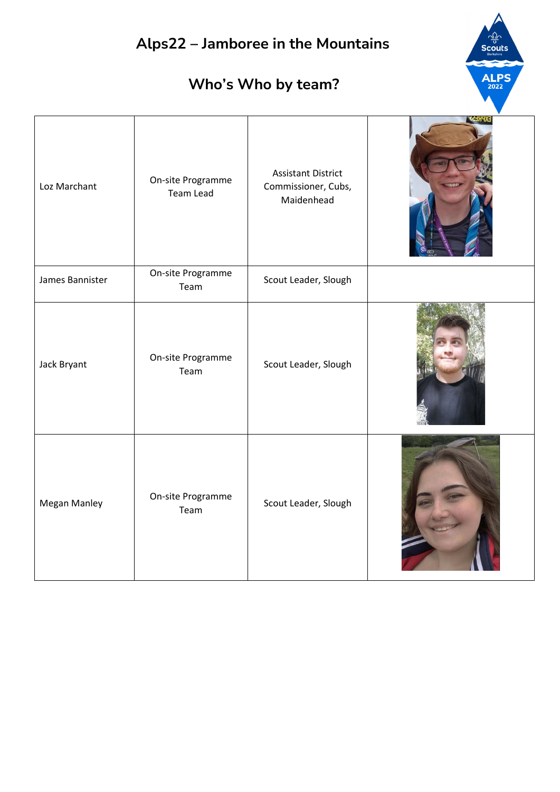| Alps22 - Jamboree in the Mountains<br>Scouts<br><b>ALPS</b><br>Who's Who by team? |                                       |                                                                |         |
|-----------------------------------------------------------------------------------|---------------------------------------|----------------------------------------------------------------|---------|
| Loz Marchant                                                                      | On-site Programme<br><b>Team Lead</b> | <b>Assistant District</b><br>Commissioner, Cubs,<br>Maidenhead | EXPRESS |
| James Bannister                                                                   | On-site Programme<br>Team             | Scout Leader, Slough                                           |         |
| Jack Bryant                                                                       | On-site Programme<br>Team             | Scout Leader, Slough                                           |         |
| Megan Manley                                                                      | On-site Programme<br>Team             | Scout Leader, Slough                                           |         |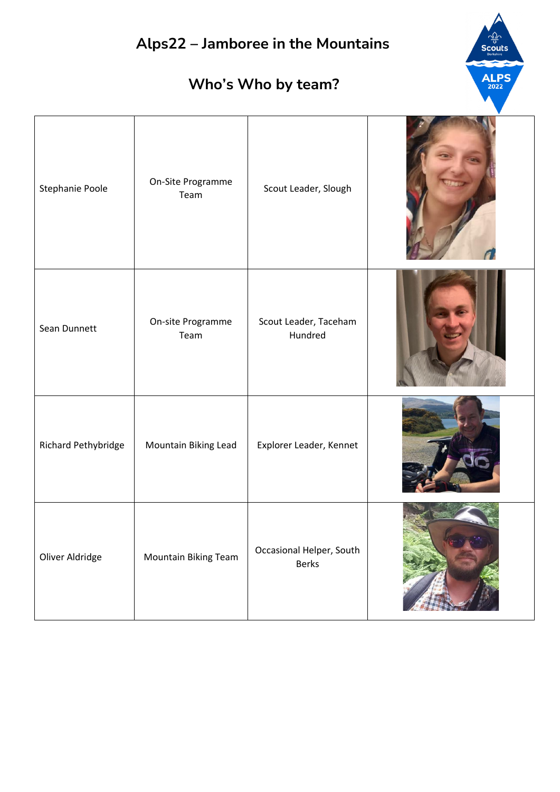#### **Who's Who by team?**

**ALPS** 2022

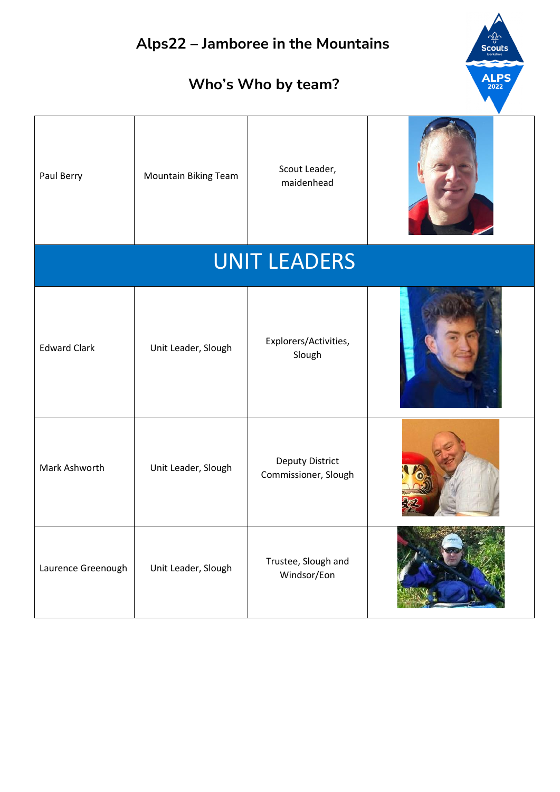# **Alps22 – Jamboree in the Mountains ALPS Who's Who by team?** 2022 Paul Berry Mountain Biking Team Scout Leader, maidenhead UNIT LEADERS Edward Clark Unit Leader, Slough Explorers/Activities, Slough Mark Ashworth Unit Leader, Slough Deputy District Commissioner, Slough Laurence Greenough Unit Leader, Slough Trustee, Slough and Windsor/Eon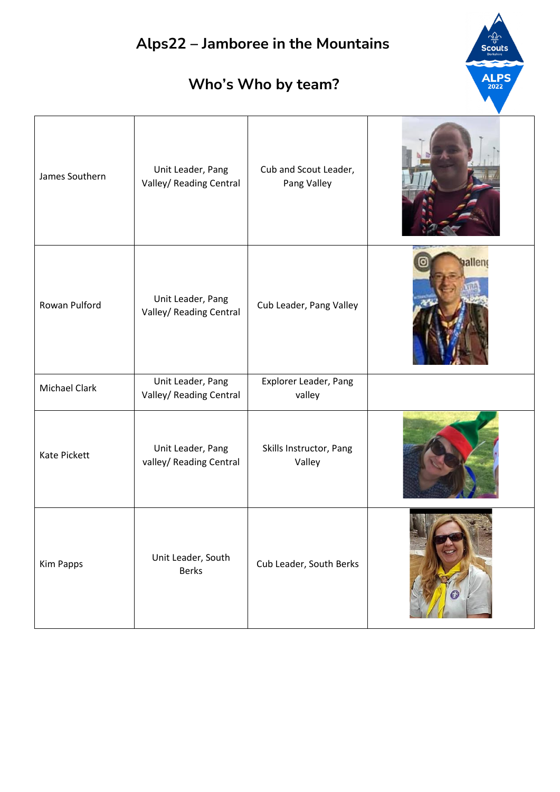









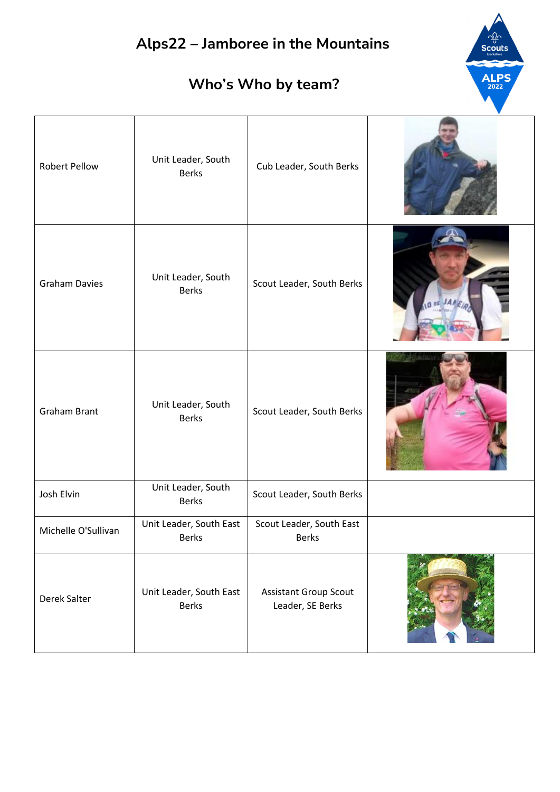## **Alps22 – Jamboree in the Mountains ALPS Who's Who by team?** Robert Pellow Unit Leader, South Cub Leader, South Berks Graham Davies Unit Leader, South Scout Leader, South Berks Graham Brant Unit Leader, South Scout Leader, South Berks Josh Elvin Unit Leader, South Scout Leader, South Berks Michelle O'Sullivan Unit Leader, South East Scout Leader, South East Berks Berks Derek Salter Unit Leader, South East Assistant Group Scout Berks Leader, SE Berks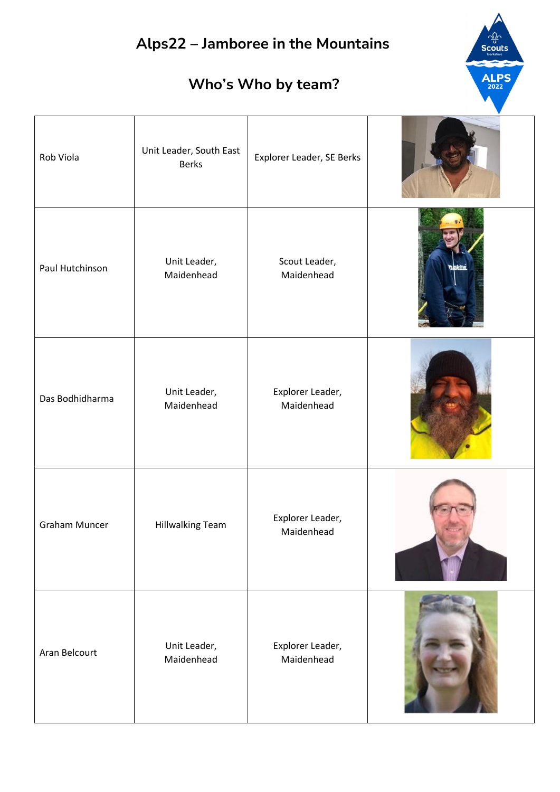**Scouts** 

ALPS<sub>2022</sub>

#### **Who's Who by team?**

 $\overline{ }$ 

| Rob Viola            | Unit Leader, South East<br><b>Berks</b> | Explorer Leader, SE Berks      |  |
|----------------------|-----------------------------------------|--------------------------------|--|
| Paul Hutchinson      | Unit Leader,<br>Maidenhead              | Scout Leader,<br>Maidenhead    |  |
| Das Bodhidharma      | Unit Leader,<br>Maidenhead              | Explorer Leader,<br>Maidenhead |  |
| <b>Graham Muncer</b> | Hillwalking Team                        | Explorer Leader,<br>Maidenhead |  |
| Aran Belcourt        | Unit Leader,<br>Maidenhead              | Explorer Leader,<br>Maidenhead |  |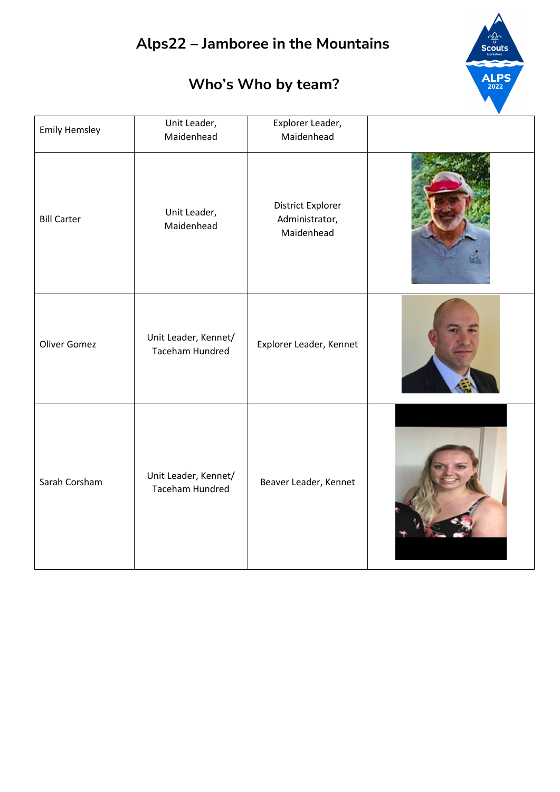#### **Who's Who by team?**

**ALPS** วัดวะ

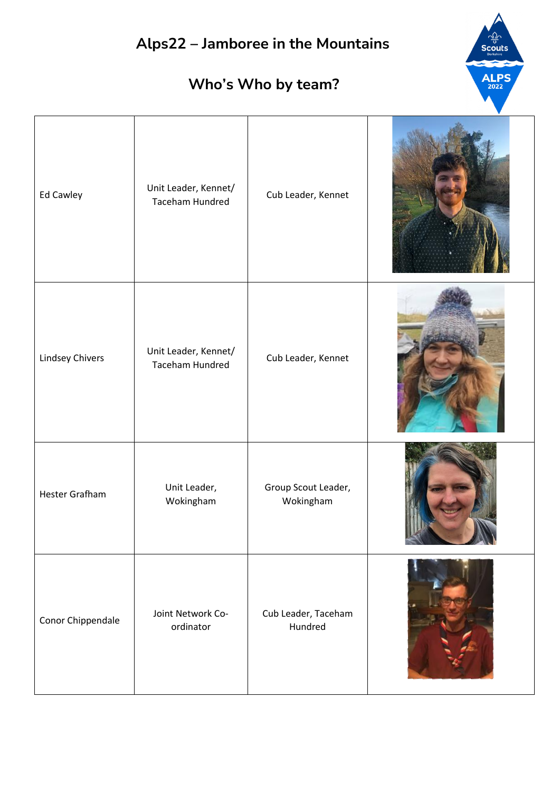| Alps22 - Jamboree in the Mountains<br><b>Scouts</b><br>ALPS <sub>2022</sub><br>Who's Who by team? |                                                |                                  |  |  |
|---------------------------------------------------------------------------------------------------|------------------------------------------------|----------------------------------|--|--|
| Ed Cawley                                                                                         | Unit Leader, Kennet/<br><b>Taceham Hundred</b> | Cub Leader, Kennet               |  |  |
| Lindsey Chivers                                                                                   | Unit Leader, Kennet/<br><b>Taceham Hundred</b> | Cub Leader, Kennet               |  |  |
| <b>Hester Grafham</b>                                                                             | Unit Leader,<br>Wokingham                      | Group Scout Leader,<br>Wokingham |  |  |
| Conor Chippendale                                                                                 | Joint Network Co-<br>ordinator                 | Cub Leader, Taceham<br>Hundred   |  |  |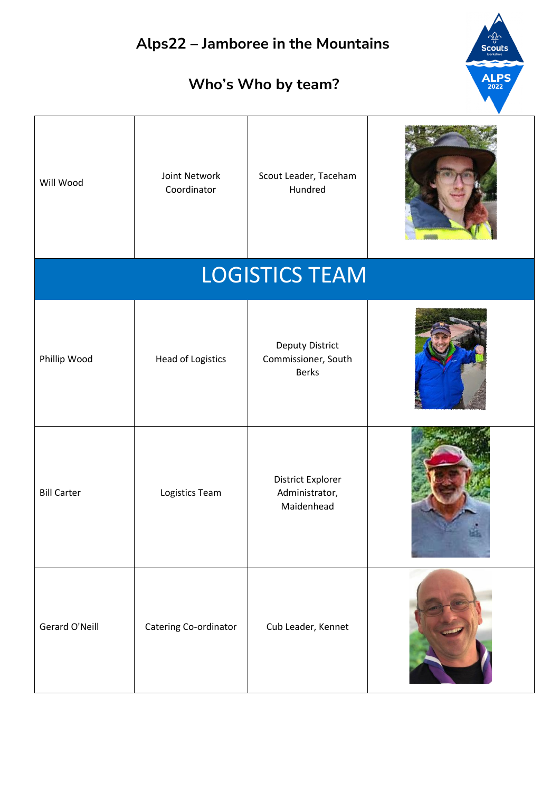**ALPS** 

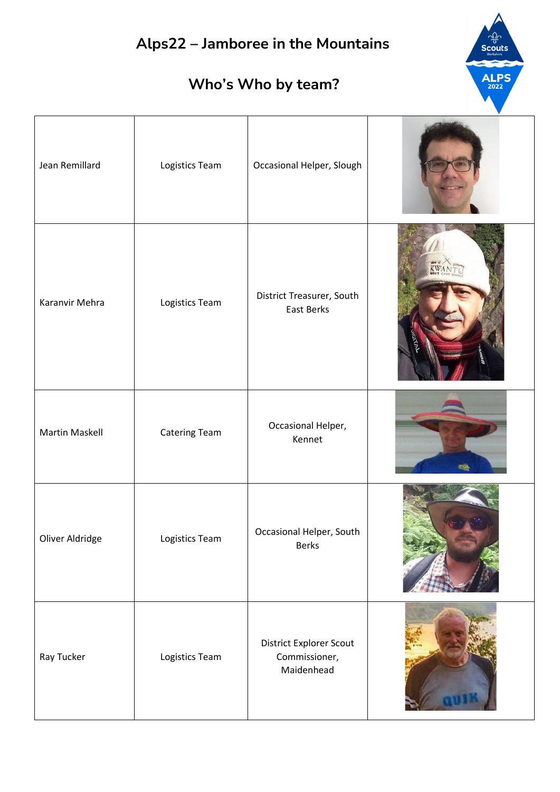$\frac{1}{\sqrt{2}}$ Scouts

ALPS

| Jean Remillard  | Logistics Team       | Occasional Helper, Slough                              |       |
|-----------------|----------------------|--------------------------------------------------------|-------|
| Karanvir Mehra  | Logistics Team       | District Treasurer, South<br>East Berks                | KWANT |
| Martin Maskell  | <b>Catering Team</b> | Occasional Helper,<br>Kennet                           |       |
| Oliver Aldridge | Logistics Team       | Occasional Helper, South<br><b>Berks</b>               |       |
| Ray Tucker      | Logistics Team       | District Explorer Scout<br>Commissioner,<br>Maidenhead |       |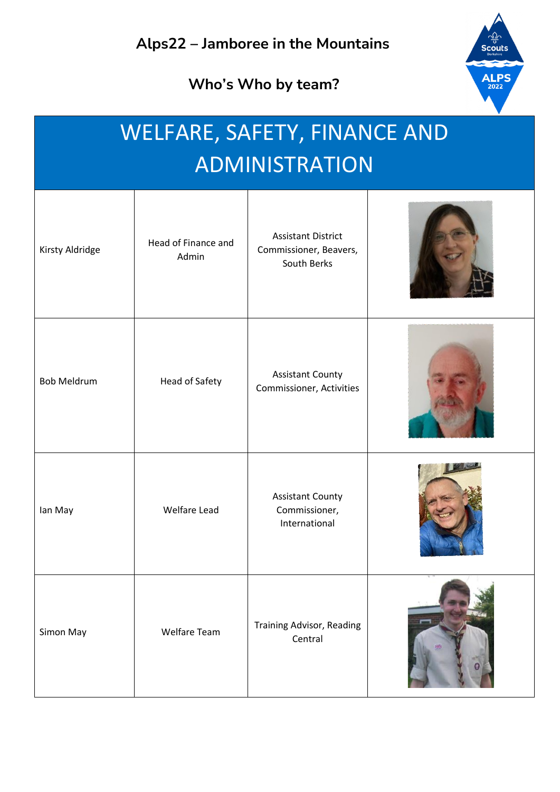**Who's Who by team?**



### WELFARE, SAFETY, FINANCE AND ADMINISTRATION

| Kirsty Aldridge    | Head of Finance and<br>Admin | <b>Assistant District</b><br>Commissioner, Beavers,<br>South Berks |   |
|--------------------|------------------------------|--------------------------------------------------------------------|---|
| <b>Bob Meldrum</b> | Head of Safety               | <b>Assistant County</b><br>Commissioner, Activities                |   |
| lan May            | <b>Welfare Lead</b>          | <b>Assistant County</b><br>Commissioner,<br>International          |   |
| Simon May          | Welfare Team                 | Training Advisor, Reading<br>Central                               | 0 |